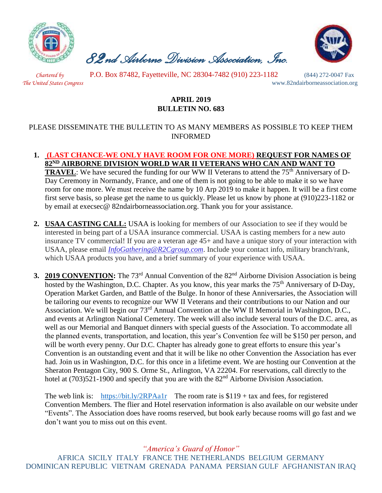

 *82nd Airborne Division Association, Inc.* 



 *Chartered by* P.O. Box 87482, Fayetteville, NC 28304-7482 (910) 223-1182 (844) 272-0047 Fax *The United States Congress* www.82ndairborneassociation.org

## **APRIL 2019 BULLETIN NO. 683**

## PLEASE DISSEMINATE THE BULLETIN TO AS MANY MEMBERS AS POSSIBLE TO KEEP THEM INFORMED

- **1. (LAST CHANCE-WE ONLY HAVE ROOM FOR ONE MORE) REQUEST FOR NAMES OF 82ND AIRBORNE DIVISION WORLD WAR II VETERANS WHO CAN AND WANT TO TRAVEL**: We have secured the funding for our WW II Veterans to attend the 75<sup>th</sup> Anniversary of D-Day Ceremony in Normandy, France, and one of them is not going to be able to make it so we have room for one more. We must receive the name by 10 Arp 2019 to make it happen. It will be a first come first serve basis, so please get the name to us quickly. Please let us know by phone at (910)223-1182 or by email at execsec@ 82ndairborneassociation.org. Thank you for your assistance.
- **2. USAA CASTING CALL:** USAA is looking for members of our Association to see if they would be interested in being part of a USAA insurance commercial. USAA is casting members for a new auto insurance TV commercial! If you are a veteran age 45+ and have a unique story of your interaction with USAA, please email *[InfoGathering@R2Cgroup.com](mailto:InfoGathering@R2Cgroup.com)*. Include your contact info, military branch/rank, which USAA products you have, and a brief summary of your experience with USAA.
- **3. 2019 CONVENTION:** The 73<sup>rd</sup> Annual Convention of the 82<sup>nd</sup> Airborne Division Association is being hosted by the Washington, D.C. Chapter. As you know, this year marks the 75<sup>th</sup> Anniversary of D-Day, Operation Market Garden, and Battle of the Bulge. In honor of these Anniversaries, the Association will be tailoring our events to recognize our WW II Veterans and their contributions to our Nation and our Association. We will begin our 73rd Annual Convention at the WW II Memorial in Washington, D.C., and events at Arlington National Cemetery. The week will also include several tours of the D.C. area, as well as our Memorial and Banquet dinners with special guests of the Association. To accommodate all the planned events, transportation, and location, this year's Convention fee will be \$150 per person, and will be worth every penny. Our D.C. Chapter has already gone to great efforts to ensure this year's Convention is an outstanding event and that it will be like no other Convention the Association has ever had. Join us in Washington, D.C. for this once in a lifetime event. We are hosting our Convention at the Sheraton Pentagon City, 900 S. Orme St., Arlington, VA 22204. For reservations, call directly to the hotel at (703)521-1900 and specify that you are with the 82<sup>nd</sup> Airborne Division Association.

The web link is: <https://bit.ly/2RPAa1r>The room rate is  $$119 + tax$  and fees, for registered Convention Members. The flier and Hotel reservation information is also available on our website under "Events". The Association does have rooms reserved, but book early because rooms will go fast and we don't want you to miss out on this event.

*"America's Guard of Honor"*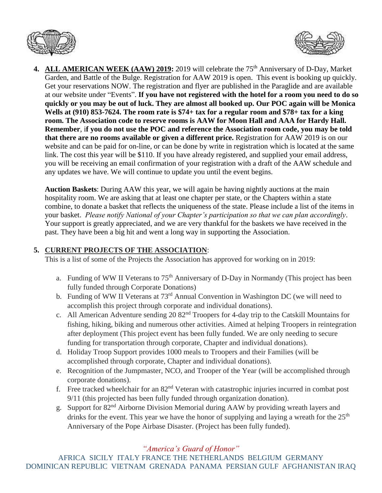



4. ALL AMERICAN WEEK (AAW) 2019: 2019 will celebrate the 75<sup>th</sup> Anniversary of D-Day, Market Garden, and Battle of the Bulge. Registration for AAW 2019 is open. This event is booking up quickly. Get your reservations NOW. The registration and flyer are published in the Paraglide and are available at our website under "Events". **If you have not registered with the hotel for a room you need to do so quickly or you may be out of luck. They are almost all booked up. Our POC again will be Monica Wells at (910) 853-7624. The room rate is \$74+ tax for a regular room and \$78+ tax for a king room. The Association code to reserve rooms is AAW for Moon Hall and AAA for Hardy Hall. Remember**, i**f you do not use the POC and reference the Association room code, you may be told that there are no rooms available or given a different price.** Registration for AAW 2019 is on our website and can be paid for on-line, or can be done by write in registration which is located at the same link. The cost this year will be \$110. If you have already registered, and supplied your email address, you will be receiving an email confirmation of your registration with a draft of the AAW schedule and any updates we have. We will continue to update you until the event begins.

**Auction Baskets**: During AAW this year, we will again be having nightly auctions at the main hospitality room. We are asking that at least one chapter per state, or the Chapters within a state combine, to donate a basket that reflects the uniqueness of the state. Please include a list of the items in your basket. *Please notify National of your Chapter's participation so that we can plan accordingly*. Your support is greatly appreciated, and we are very thankful for the baskets we have received in the past. They have been a big hit and went a long way in supporting the Association.

## **5. CURRENT PROJECTS OF THE ASSOCIATION**:

This is a list of some of the Projects the Association has approved for working on in 2019:

- a. Funding of WW II Veterans to 75<sup>th</sup> Anniversary of D-Day in Normandy (This project has been fully funded through Corporate Donations)
- b. Funding of WW II Veterans at 73<sup>rd</sup> Annual Convention in Washington DC (we will need to accomplish this project through corporate and individual donations).
- c. All American Adventure sending 20 82nd Troopers for 4-day trip to the Catskill Mountains for fishing, hiking, biking and numerous other activities. Aimed at helping Troopers in reintegration after deployment (This project event has been fully funded. We are only needing to secure funding for transportation through corporate, Chapter and individual donations).
- d. Holiday Troop Support provides 1000 meals to Troopers and their Families (will be accomplished through corporate, Chapter and individual donations).
- e. Recognition of the Jumpmaster, NCO, and Trooper of the Year (will be accomplished through corporate donations).
- f. Free tracked wheelchair for an  $82<sup>nd</sup>$  Veteran with catastrophic injuries incurred in combat post 9/11 (this projected has been fully funded through organization donation).
- g. Support for 82nd Airborne Division Memorial during AAW by providing wreath layers and drinks for the event. This year we have the honor of supplying and laying a wreath for the 25<sup>th</sup> Anniversary of the Pope Airbase Disaster. (Project has been fully funded).

*"America's Guard of Honor"*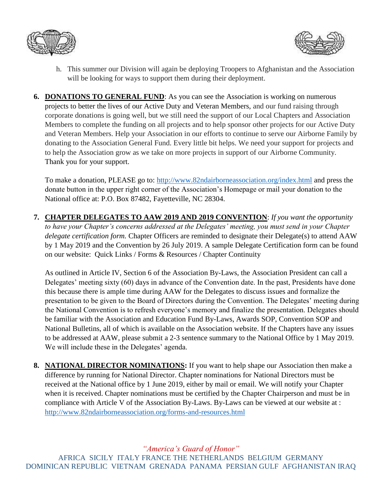



- h. This summer our Division will again be deploying Troopers to Afghanistan and the Association will be looking for ways to support them during their deployment.
- **6. DONATIONS TO GENERAL FUND**: As you can see the Association is working on numerous projects to better the lives of our Active Duty and Veteran Members, and our fund raising through corporate donations is going well, but we still need the support of our Local Chapters and Association Members to complete the funding on all projects and to help sponsor other projects for our Active Duty and Veteran Members. Help your Association in our efforts to continue to serve our Airborne Family by donating to the Association General Fund. Every little bit helps. We need your support for projects and to help the Association grow as we take on more projects in support of our Airborne Community. Thank you for your support.

To make a donation, PLEASE go to:<http://www.82ndairborneassociation.org/index.html> and press the donate button in the upper right corner of the Association's Homepage or mail your donation to the National office at: P.O. Box 87482, Fayetteville, NC 28304.

**7. CHAPTER DELEGATES TO AAW 2019 AND 2019 CONVENTION**: *If you want the opportunity to have your Chapter's concerns addressed at the Delegates' meeting, you must send in your Chapter delegate certification form.* Chapter Officers are reminded to designate their Delegate(s) to attend AAW by 1 May 2019 and the Convention by 26 July 2019. A sample Delegate Certification form can be found on our website: Quick Links / Forms & Resources / Chapter Continuity

As outlined in Article IV, Section 6 of the Association By-Laws, the Association President can call a Delegates' meeting sixty (60) days in advance of the Convention date. In the past, Presidents have done this because there is ample time during AAW for the Delegates to discuss issues and formalize the presentation to be given to the Board of Directors during the Convention. The Delegates' meeting during the National Convention is to refresh everyone's memory and finalize the presentation. Delegates should be familiar with the Association and Education Fund By-Laws, Awards SOP, Convention SOP and National Bulletins, all of which is available on the Association website. If the Chapters have any issues to be addressed at AAW, please submit a 2-3 sentence summary to the National Office by 1 May 2019. We will include these in the Delegates' agenda.

**8. NATIONAL DIRECTOR NOMINATIONS:** If you want to help shape our Association then make a difference by running for National Director. Chapter nominations for National Directors must be received at the National office by 1 June 2019, either by mail or email. We will notify your Chapter when it is received. Chapter nominations must be certified by the Chapter Chairperson and must be in compliance with Article V of the Association By-Laws. By-Laws can be viewed at our website at : <http://www.82ndairborneassociation.org/forms-and-resources.html>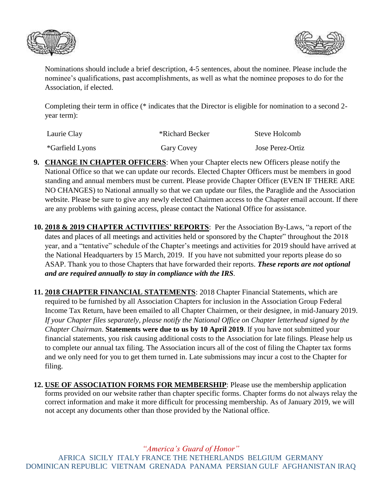



Nominations should include a brief description, 4-5 sentences, about the nominee. Please include the nominee's qualifications, past accomplishments, as well as what the nominee proposes to do for the Association, if elected.

Completing their term in office (\* indicates that the Director is eligible for nomination to a second 2 year term):

| Laurie Clay     | *Richard Becker | Steve Holcomb           |
|-----------------|-----------------|-------------------------|
| *Garfield Lyons | Gary Covey      | <b>Jose Perez-Ortiz</b> |

- **9. CHANGE IN CHAPTER OFFICERS**: When your Chapter elects new Officers please notify the National Office so that we can update our records. Elected Chapter Officers must be members in good standing and annual members must be current. Please provide Chapter Officer (EVEN IF THERE ARE NO CHANGES) to National annually so that we can update our files, the Paraglide and the Association website. Please be sure to give any newly elected Chairmen access to the Chapter email account. If there are any problems with gaining access, please contact the National Office for assistance.
- **10. 2018 & 2019 CHAPTER ACTIVITIES' REPORTS**: Per the Association By-Laws, "a report of the dates and places of all meetings and activities held or sponsored by the Chapter" throughout the 2018 year, and a "tentative" schedule of the Chapter's meetings and activities for 2019 should have arrived at the National Headquarters by 15 March, 2019. If you have not submitted your reports please do so ASAP. Thank you to those Chapters that have forwarded their reports. *These reports are not optional and are required annually to stay in compliance with the IRS.*
- **11. 2018 CHAPTER FINANCIAL STATEMENTS**: 2018 Chapter Financial Statements, which are required to be furnished by all Association Chapters for inclusion in the Association Group Federal Income Tax Return, have been emailed to all Chapter Chairmen, or their designee, in mid-January 2019. *If your Chapter files separately, please notify the National Office on Chapter letterhead signed by the Chapter Chairman*. **Statements were due to us by 10 April 2019**. If you have not submitted your financial statements, you risk causing additional costs to the Association for late filings. Please help us to complete our annual tax filing. The Association incurs all of the cost of filing the Chapter tax forms and we only need for you to get them turned in. Late submissions may incur a cost to the Chapter for filing.
- **12. USE OF ASSOCIATION FORMS FOR MEMBERSHIP**: Please use the membership application forms provided on our website rather than chapter specific forms. Chapter forms do not always relay the correct information and make it more difficult for processing membership. As of January 2019, we will not accept any documents other than those provided by the National office.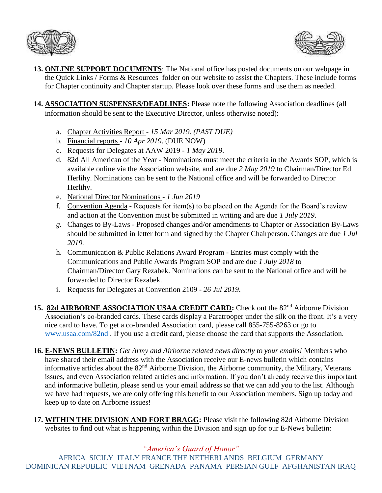



- **13. ONLINE SUPPORT DOCUMENTS**: The National office has posted documents on our webpage in the Quick Links / Forms & Resources folder on our website to assist the Chapters. These include forms for Chapter continuity and Chapter startup. Please look over these forms and use them as needed.
- **14. ASSOCIATION SUSPENSES/DEADLINES:** Please note the following Association deadlines (all information should be sent to the Executive Director, unless otherwise noted):
	- a. Chapter Activities Report *15 Mar 2019. (PAST DUE)*
	- b. Financial reports *10 Apr 2019*. (DUE NOW)
	- c. Requests for Delegates at AAW 2019 *1 May 2019*.
	- d. 82d All American of the Year Nominations must meet the criteria in the Awards SOP, which is available online via the Association website, and are due *2 May 2019* to Chairman/Director Ed Herlihy. Nominations can be sent to the National office and will be forwarded to Director Herlihy.
	- e. National Director Nominations *1 Jun 2019*
	- f. Convention Agenda Requests for item(s) to be placed on the Agenda for the Board's review and action at the Convention must be submitted in writing and are due *1 July 2019*.
	- *g.* Changes to By-Laws Proposed changes and/or amendments to Chapter or Association By-Laws should be submitted in letter form and signed by the Chapter Chairperson. Changes are due *1 Jul 2019.*
	- h. Communication & Public Relations Award Program Entries must comply with the Communications and Public Awards Program SOP and are due *1 July 2018* to Chairman/Director Gary Rezabek. Nominations can be sent to the National office and will be forwarded to Director Rezabek.
	- i. Requests for Delegates at Convention 2109 *26 Jul 2019*.
- 15. 82d AIRBORNE ASSOCIATION USAA CREDIT CARD: Check out the 82<sup>nd</sup> Airborne Division Association's co-branded cards. These cards display a Paratrooper under the silk on the front. It's a very nice card to have. To get a co-branded Association card, please call 855-755-8263 or go to [www.usaa.com/82nd](http://www.usaa.com/82nd) . If you use a credit card, please choose the card that supports the Association.
- **16. E-NEWS BULLETIN:** *Get Army and Airborne related news directly to your emails!* Members who have shared their email address with the Association receive our E-news bulletin which contains informative articles about the 82nd Airborne Division, the Airborne community, the Military, Veterans issues, and even Association related articles and information. If you don't already receive this important and informative bulletin, please send us your email address so that we can add you to the list. Although we have had requests, we are only offering this benefit to our Association members. Sign up today and keep up to date on Airborne issues!
- **17. WITHIN THE DIVISION AND FORT BRAGG:** Please visit the following 82d Airborne Division websites to find out what is happening within the Division and sign up for our E-News bulletin:

## *"America's Guard of Honor"*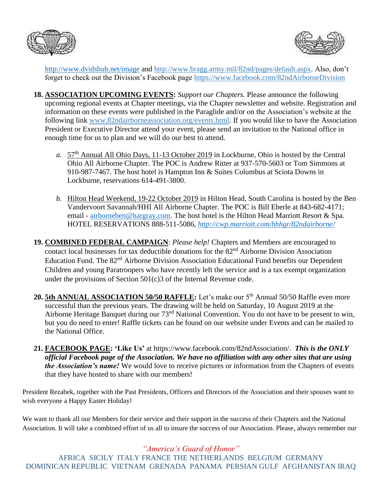



<http://www.dvidshub.net/image> and [http://www.bragg.army.mil/82nd/pages/default.aspx.](http://www.bragg.army.mil/82ND/Pages/default.aspx) Also, don't forget to check out the Division's Facebook page<https://www.facebook.com/82ndAirborneDivision>

- **18. ASSOCIATION UPCOMING EVENTS:** *Support our Chapters.* Please announce the following upcoming regional events at Chapter meetings, via the Chapter newsletter and website. Registration and information on these events were published in the Paraglide and/or on the Association's website at the following link [www.82ndairborneassociation.org/events.html.](http://www.82ndairborneassociation.org/events.html) If you would like to have the Association President or Executive Director attend your event, please send an invitation to the National office in enough time for us to plan and we will do our best to attend.
	- *a.* 57th Annual All Ohio Days, 11-13 October 2019 in Lockburne, Ohio is hosted by the Central Ohio All Airborne Chapter. The POC is Andrew Ritter at 937-570-5603 or Tom Simmons at 910-987-7467. The host hotel is Hampton Inn & Suites Columbus at Sciota Downs in Lockburne, reservations 614-491-3800.
	- *b.* Hilton Head Weekend, 19-22 October 2019 in Hilton Head, South Carolina is hosted by the Ben Vandervoort Savannah/HHI All Airborne Chapter. The POC is Bill Eberle at 843-682-4171; email - [airborneben@hargray.com.](mailto:airborneben@hargray.com) The host hotel is the Hilton Head Marriott Resort & Spa. HOTEL RESERVATIONS 888-511-5086, *<http://cwp.marriott.com/hhhgr/82ndairborne/>*
- **19. COMBINED FEDERAL CAMPAIGN**: *Please help!* Chapters and Members are encouraged to contact local businesses for tax deductible donations for the 82<sup>nd</sup> Airborne Division Association Education Fund. The 82<sup>nd</sup> Airborne Division Association Educational Fund benefits our Dependent Children and young Paratroopers who have recently left the service and is a tax exempt organization under the provisions of Section 501(c)3 of the Internal Revenue code.
- 20. 5th ANNUAL ASSOCIATION 50/50 RAFFLE: Let's make our 5<sup>th</sup> Annual 50/50 Raffle even more successful than the previous years. The drawing will be held on Saturday, 10 August 2019 at the Airborne Heritage Banquet during our 73<sup>nd</sup> National Convention. You do not have to be present to win, but you do need to enter! Raffle tickets can be found on our website under Events and can be mailed to the National Office.
- **21. FACEBOOK PAGE: 'Like Us'** at https://www.facebook.com/82ndAssociation/. *This is the ONLY official Facebook page of the Association. We have no affiliation with any other sites that are using the Association's name!* We would love to receive pictures or information from the Chapters of events that they have hosted to share with our members!

President Rezabek, together with the Past Presidents, Officers and Directors of the Association and their spouses want to wish everyone a Happy Easter Holiday!

We want to thank all our Members for their service and their support in the success of their Chapters and the National Association. It will take a combined effort of us all to insure the success of our Association. Please, always remember our

*"America's Guard of Honor"*